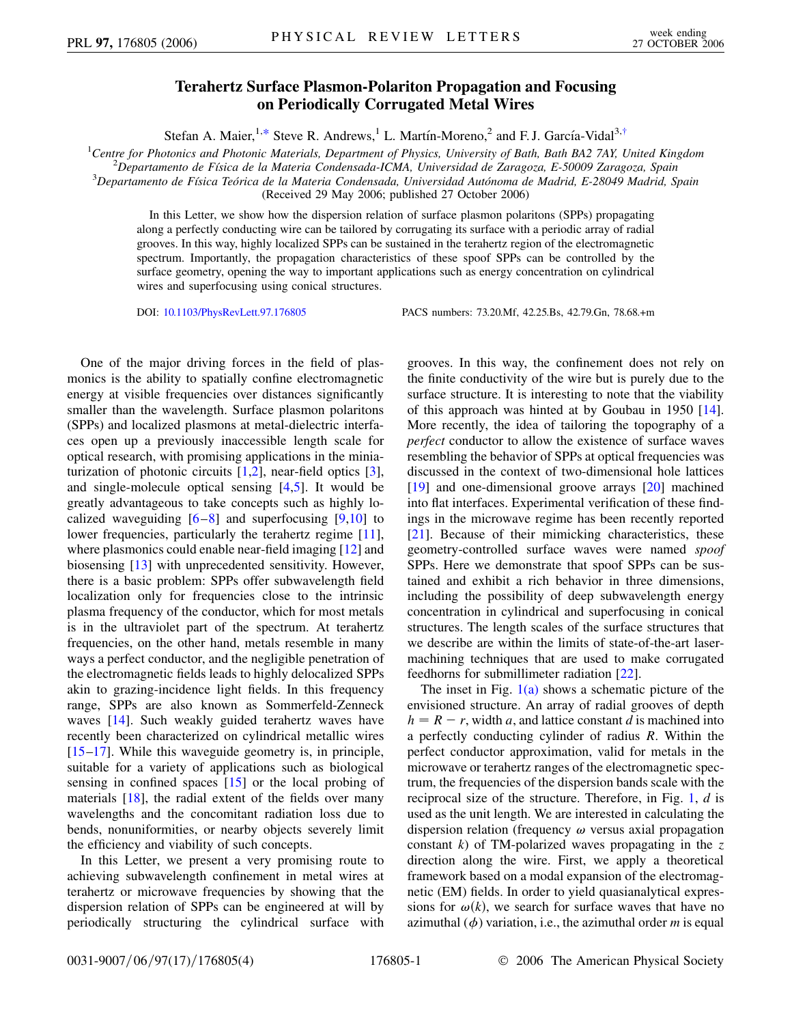## **Terahertz Surface Plasmon-Polariton Propagation and Focusing on Periodically Corrugated Metal Wires**

Stefan A. Maier, <sup>1[,\\*](#page-3-0)</sup> Steve R. Andrews, <sup>1</sup> L. Martín-Moreno, <sup>2</sup> and F. J. García-Vidal<sup>3[,†](#page-3-1)</sup>

<span id="page-0-0"></span><sup>1</sup>Centre for Photonics and Photonic Materials, Department of Physics, University of Bath, Bath BA2 7AY, United Kingdom<br><sup>2</sup> Departmento de Eísica de la Materia Condensada ICMA, Universidad de Zaragoza, E 50000 Zaragoza, Sp *Departamento de Fı´sica de la Materia Condensada-ICMA, Universidad de Zaragoza, E-50009 Zaragoza, Spain* <sup>3</sup>

*Departamento de Fı´sica Teo´rica de la Materia Condensada, Universidad Auto´noma de Madrid, E-28049 Madrid, Spain*

(Received 29 May 2006; published 27 October 2006)

In this Letter, we show how the dispersion relation of surface plasmon polaritons (SPPs) propagating along a perfectly conducting wire can be tailored by corrugating its surface with a periodic array of radial grooves. In this way, highly localized SPPs can be sustained in the terahertz region of the electromagnetic spectrum. Importantly, the propagation characteristics of these spoof SPPs can be controlled by the surface geometry, opening the way to important applications such as energy concentration on cylindrical wires and superfocusing using conical structures.

DOI: [10.1103/PhysRevLett.97.176805](http://dx.doi.org/10.1103/PhysRevLett.97.176805) PACS numbers: 73.20.Mf, 42.25.Bs, 42.79.Gn, 78.68.+m

One of the major driving forces in the field of plasmonics is the ability to spatially confine electromagnetic energy at visible frequencies over distances significantly smaller than the wavelength. Surface plasmon polaritons (SPPs) and localized plasmons at metal-dielectric interfaces open up a previously inaccessible length scale for optical research, with promising applications in the miniaturization of photonic circuits [[1](#page-3-2),[2\]](#page-3-3), near-field optics [[3\]](#page-3-4), and single-molecule optical sensing [\[4](#page-3-5)[,5](#page-3-6)]. It would be greatly advantageous to take concepts such as highly localized waveguiding  $[6-8]$  $[6-8]$  $[6-8]$  and superfocusing  $[9,10]$  $[9,10]$  $[9,10]$  $[9,10]$  to lower frequencies, particularly the terahertz regime [[11\]](#page-3-11), where plasmonics could enable near-field imaging [[12](#page-3-12)] and biosensing [[13](#page-3-13)] with unprecedented sensitivity. However, there is a basic problem: SPPs offer subwavelength field localization only for frequencies close to the intrinsic plasma frequency of the conductor, which for most metals is in the ultraviolet part of the spectrum. At terahertz frequencies, on the other hand, metals resemble in many ways a perfect conductor, and the negligible penetration of the electromagnetic fields leads to highly delocalized SPPs akin to grazing-incidence light fields. In this frequency range, SPPs are also known as Sommerfeld-Zenneck waves [[14](#page-3-14)]. Such weakly guided terahertz waves have recently been characterized on cylindrical metallic wires [\[15](#page-3-15)–[17](#page-3-16)]. While this waveguide geometry is, in principle, suitable for a variety of applications such as biological sensing in confined spaces [[15](#page-3-15)] or the local probing of materials [\[18\]](#page-3-17), the radial extent of the fields over many wavelengths and the concomitant radiation loss due to bends, nonuniformities, or nearby objects severely limit the efficiency and viability of such concepts.

In this Letter, we present a very promising route to achieving subwavelength confinement in metal wires at terahertz or microwave frequencies by showing that the dispersion relation of SPPs can be engineered at will by periodically structuring the cylindrical surface with grooves. In this way, the confinement does not rely on the finite conductivity of the wire but is purely due to the surface structure. It is interesting to note that the viability of this approach was hinted at by Goubau in 1950 [[14\]](#page-3-14). More recently, the idea of tailoring the topography of a *perfect* conductor to allow the existence of surface waves resembling the behavior of SPPs at optical frequencies was discussed in the context of two-dimensional hole lattices [\[19\]](#page-3-18) and one-dimensional groove arrays [\[20\]](#page-3-19) machined into flat interfaces. Experimental verification of these findings in the microwave regime has been recently reported [\[21\]](#page-3-20). Because of their mimicking characteristics, these geometry-controlled surface waves were named *spoof* SPPs. Here we demonstrate that spoof SPPs can be sustained and exhibit a rich behavior in three dimensions, including the possibility of deep subwavelength energy concentration in cylindrical and superfocusing in conical structures. The length scales of the surface structures that we describe are within the limits of state-of-the-art lasermachining techniques that are used to make corrugated feedhorns for submillimeter radiation [[22](#page-3-21)].

The inset in Fig.  $1(a)$  shows a schematic picture of the envisioned structure. An array of radial grooves of depth  $h = R - r$ , width *a*, and lattice constant *d* is machined into a perfectly conducting cylinder of radius *R*. Within the perfect conductor approximation, valid for metals in the microwave or terahertz ranges of the electromagnetic spectrum, the frequencies of the dispersion bands scale with the reciprocal size of the structure. Therefore, in Fig. [1](#page-1-1), *d* is used as the unit length. We are interested in calculating the dispersion relation (frequency  $\omega$  versus axial propagation constant *k*) of TM-polarized waves propagating in the *z* direction along the wire. First, we apply a theoretical framework based on a modal expansion of the electromagnetic (EM) fields. In order to yield quasianalytical expressions for  $\omega(k)$ , we search for surface waves that have no azimuthal  $(\phi)$  variation, i.e., the azimuthal order *m* is equal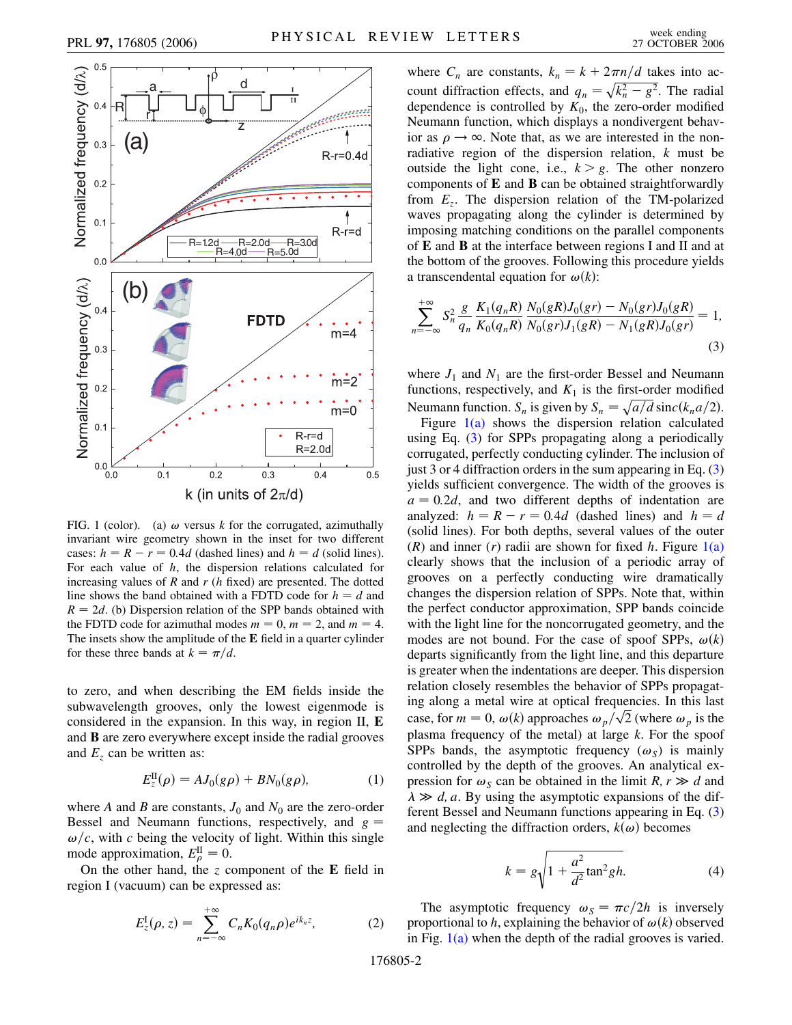

<span id="page-1-1"></span>

<span id="page-1-0"></span>FIG. 1 (color). (a)  $\omega$  versus *k* for the corrugated, azimuthally invariant wire geometry shown in the inset for two different cases:  $h = R - r = 0.4d$  (dashed lines) and  $h = d$  (solid lines). For each value of *h*, the dispersion relations calculated for increasing values of *R* and *r* (*h* fixed) are presented. The dotted line shows the band obtained with a FDTD code for  $h = d$  and  $R = 2d$ . (b) Dispersion relation of the SPP bands obtained with the FDTD code for azimuthal modes  $m = 0$ ,  $m = 2$ , and  $m = 4$ . The insets show the amplitude of the **E** field in a quarter cylinder for these three bands at  $k = \pi/d$ .

to zero, and when describing the EM fields inside the subwavelength grooves, only the lowest eigenmode is considered in the expansion. In this way, in region II, **E** and **B** are zero everywhere except inside the radial grooves and  $E_z$  can be written as:

$$
E_z^{II}(\rho) = A J_0(g\rho) + B N_0(g\rho), \tag{1}
$$

where *A* and *B* are constants,  $J_0$  and  $N_0$  are the zero-order Bessel and Neumann functions, respectively, and *g*  $\omega/c$ , with *c* being the velocity of light. Within this single mode approximation,  $E_{\rho}^{\text{II}} = 0$ .

On the other hand, the *z* component of the **E** field in region I (vacuum) can be expressed as:

$$
E_z^{\rm I}(\rho, z) = \sum_{n=-\infty}^{+\infty} C_n K_0(q_n \rho) e^{ik_n z}, \qquad (2)
$$

where  $C_n$  are constants,  $k_n = k + 2\pi n/d$  takes into account diffraction effects, and  $q_n = \sqrt{k_n^2 - g^2}$ . The radial dependence is controlled by  $K_0$ , the zero-order modified Neumann function, which displays a nondivergent behavior as  $\rho \rightarrow \infty$ . Note that, as we are interested in the nonradiative region of the dispersion relation, *k* must be outside the light cone, i.e.,  $k > g$ . The other nonzero components of **E** and **B** can be obtained straightforwardly from *Ez*. The dispersion relation of the TM-polarized waves propagating along the cylinder is determined by imposing matching conditions on the parallel components of **E** and **B** at the interface between regions I and II and at the bottom of the grooves. Following this procedure yields a transcendental equation for  $\omega(k)$ :

<span id="page-1-2"></span>
$$
\sum_{n=-\infty}^{+\infty} S_n^2 \frac{g}{q_n} \frac{K_1(q_n R)}{K_0(q_n R)} \frac{N_0(gR)J_0(gr) - N_0(gr)J_0(gR)}{N_0(gr)J_1(gR) - N_1(gR)J_0(gr)} = 1,
$$
\n(3)

where  $J_1$  and  $N_1$  are the first-order Bessel and Neumann functions, respectively, and  $K_1$  is the first-order modified Neumann function.  $S_n$  is given by  $S_n = \sqrt{a/d} \operatorname{sinc}(k_n a/2)$ .

Figure  $1(a)$  shows the dispersion relation calculated using Eq. ([3](#page-1-2)) for SPPs propagating along a periodically corrugated, perfectly conducting cylinder. The inclusion of just 3 or 4 diffraction orders in the sum appearing in Eq. [\(3\)](#page-1-2) yields sufficient convergence. The width of the grooves is  $a = 0.2d$ , and two different depths of indentation are analyzed:  $h = R - r = 0.4d$  (dashed lines) and  $h = d$ (solid lines). For both depths, several values of the outer  $(R)$  and inner  $(r)$  radii are shown for fixed *h*. Figure  $1(a)$ clearly shows that the inclusion of a periodic array of grooves on a perfectly conducting wire dramatically changes the dispersion relation of SPPs. Note that, within the perfect conductor approximation, SPP bands coincide with the light line for the noncorrugated geometry, and the modes are not bound. For the case of spoof SPPs,  $\omega(k)$ departs significantly from the light line, and this departure is greater when the indentations are deeper. This dispersion relation closely resembles the behavior of SPPs propagating along a metal wire at optical frequencies. In this last requencies. In this last case, for  $m = 0$ ,  $\omega(k)$  approaches  $\omega_p / \sqrt{2}$  (where  $\omega_p$  is the plasma frequency of the metal) at large *k*. For the spoof SPPs bands, the asymptotic frequency  $(\omega_s)$  is mainly controlled by the depth of the grooves. An analytical expression for  $\omega_s$  can be obtained in the limit *R*,  $r \gg d$  and  $\lambda \gg d$ , *a*. By using the asymptotic expansions of the different Bessel and Neumann functions appearing in Eq. [\(3\)](#page-1-2) and neglecting the diffraction orders,  $k(\omega)$  becomes

$$
k = g\sqrt{1 + \frac{a^2}{d^2}\tan^2 g h}.
$$
 (4)

The asymptotic frequency  $\omega_s = \pi c/2h$  is inversely proportional to *h*, explaining the behavior of  $\omega(k)$  observed in Fig.  $1(a)$  when the depth of the radial grooves is varied.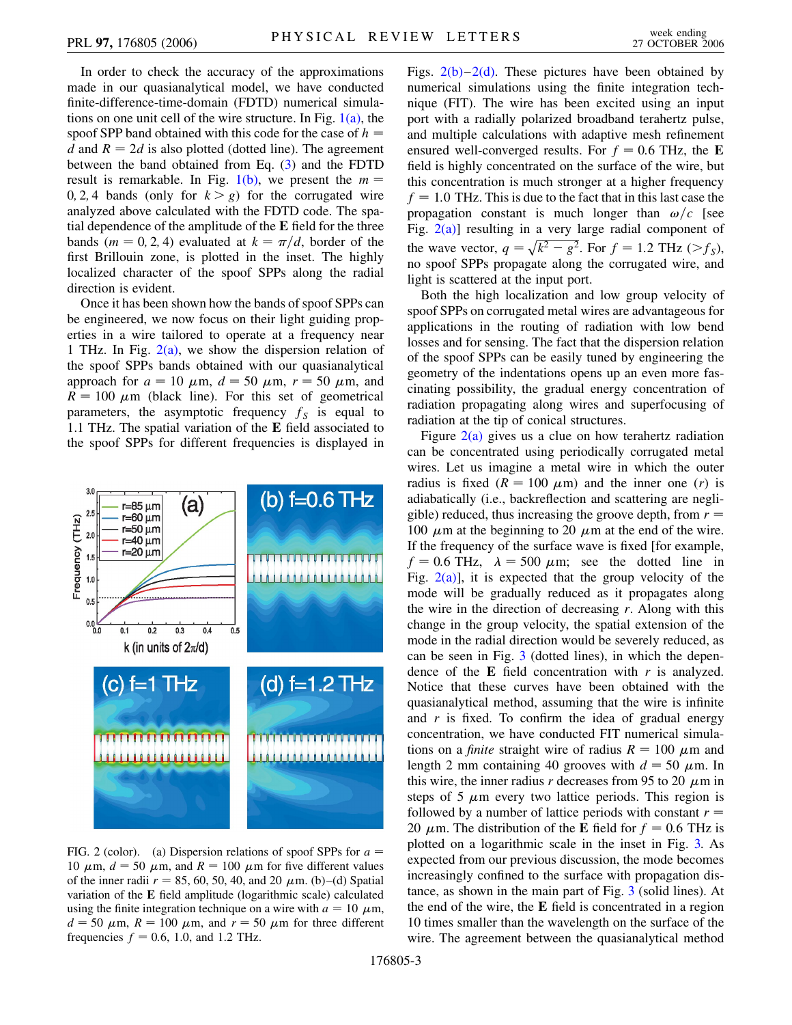In order to check the accuracy of the approximations made in our quasianalytical model, we have conducted finite-difference-time-domain (FDTD) numerical simulations on one unit cell of the wire structure. In Fig.  $1(a)$ , the spoof SPP band obtained with this code for the case of *h d* and  $R = 2d$  is also plotted (dotted line). The agreement between the band obtained from Eq. [\(3](#page-1-2)) and the FDTD result is remarkable. In Fig.  $1(b)$ , we present the  $m =$ 0, 2, 4 bands (only for  $k > g$ ) for the corrugated wire analyzed above calculated with the FDTD code. The spatial dependence of the amplitude of the **E** field for the three bands ( $m = 0, 2, 4$ ) evaluated at  $k = \pi/d$ , border of the first Brillouin zone, is plotted in the inset. The highly localized character of the spoof SPPs along the radial direction is evident.

Once it has been shown how the bands of spoof SPPs can be engineered, we now focus on their light guiding properties in a wire tailored to operate at a frequency near 1 THz. In Fig.  $2(a)$ , we show the dispersion relation of the spoof SPPs bands obtained with our quasianalytical approach for  $a = 10 \mu \text{m}$ ,  $d = 50 \mu \text{m}$ ,  $r = 50 \mu \text{m}$ , and  $R = 100 \mu m$  (black line). For this set of geometrical parameters, the asymptotic frequency  $f<sub>S</sub>$  is equal to 1.1 THz. The spatial variation of the **E** field associated to the spoof SPPs for different frequencies is displayed in



<span id="page-2-0"></span>FIG. 2 (color). (a) Dispersion relations of spoof SPPs for *a* 10  $\mu$ m,  $d = 50 \mu$ m, and  $R = 100 \mu$ m for five different values of the inner radii  $r = 85, 60, 50, 40,$  and 20  $\mu$ m. (b)–(d) Spatial variation of the **E** field amplitude (logarithmic scale) calculated using the finite integration technique on a wire with  $a = 10 \mu m$ ,  $d = 50 \mu m$ ,  $R = 100 \mu m$ , and  $r = 50 \mu m$  for three different frequencies  $f = 0.6$ , 1.0, and 1.2 THz.

Figs.  $2(b)-2(d)$ . These pictures have been obtained by numerical simulations using the finite integration technique (FIT). The wire has been excited using an input port with a radially polarized broadband terahertz pulse, and multiple calculations with adaptive mesh refinement ensured well-converged results. For  $f = 0.6$  THz, the **E** field is highly concentrated on the surface of the wire, but this concentration is much stronger at a higher frequency  $f = 1.0$  THz. This is due to the fact that in this last case the propagation constant is much longer than  $\omega/c$  [see Fig.  $2(a)$ ] resulting in a very large radial component of the wave vector,  $q = \sqrt{k^2 - g^2}$ . For  $f = 1.2$  THz ( $>f_S$ ), no spoof SPPs propagate along the corrugated wire, and light is scattered at the input port.

Both the high localization and low group velocity of spoof SPPs on corrugated metal wires are advantageous for applications in the routing of radiation with low bend losses and for sensing. The fact that the dispersion relation of the spoof SPPs can be easily tuned by engineering the geometry of the indentations opens up an even more fascinating possibility, the gradual energy concentration of radiation propagating along wires and superfocusing of radiation at the tip of conical structures.

Figure  $2(a)$  gives us a clue on how terahertz radiation can be concentrated using periodically corrugated metal wires. Let us imagine a metal wire in which the outer radius is fixed  $(R = 100 \mu m)$  and the inner one (*r*) is adiabatically (i.e., backreflection and scattering are negligible) reduced, thus increasing the groove depth, from  $r =$ 100  $\mu$ m at the beginning to 20  $\mu$ m at the end of the wire. If the frequency of the surface wave is fixed [for example,  $f = 0.6$  THz,  $\lambda = 500 \mu m$ ; see the dotted line in Fig.  $2(a)$ ], it is expected that the group velocity of the mode will be gradually reduced as it propagates along the wire in the direction of decreasing *r*. Along with this change in the group velocity, the spatial extension of the mode in the radial direction would be severely reduced, as can be seen in Fig. [3](#page-3-22) (dotted lines), in which the dependence of the **E** field concentration with *r* is analyzed. Notice that these curves have been obtained with the quasianalytical method, assuming that the wire is infinite and  $r$  is fixed. To confirm the idea of gradual energy concentration, we have conducted FIT numerical simulations on a *finite* straight wire of radius  $R = 100 \mu m$  and length 2 mm containing 40 grooves with  $d = 50 \mu$ m. In this wire, the inner radius  $r$  decreases from 95 to 20  $\mu$ m in steps of 5  $\mu$ m every two lattice periods. This region is followed by a number of lattice periods with constant  $r =$ 20  $\mu$ m. The distribution of the **E** field for  $f = 0.6$  THz is plotted on a logarithmic scale in the inset in Fig. [3.](#page-3-22) As expected from our previous discussion, the mode becomes increasingly confined to the surface with propagation distance, as shown in the main part of Fig. [3](#page-3-22) (solid lines). At the end of the wire, the **E** field is concentrated in a region 10 times smaller than the wavelength on the surface of the wire. The agreement between the quasianalytical method